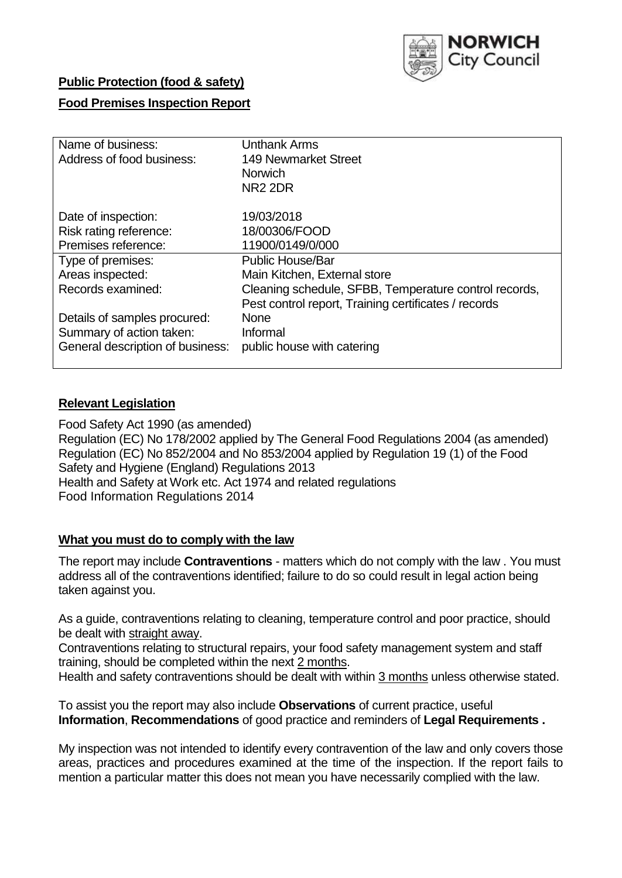

## **Public Protection (food & safety)**

# **Food Premises Inspection Report**

| Name of business:                | <b>Unthank Arms</b>                                   |  |  |  |  |  |
|----------------------------------|-------------------------------------------------------|--|--|--|--|--|
| Address of food business:        | <b>149 Newmarket Street</b>                           |  |  |  |  |  |
|                                  | <b>Norwich</b>                                        |  |  |  |  |  |
|                                  | NR <sub>2</sub> 2DR                                   |  |  |  |  |  |
| Date of inspection:              | 19/03/2018                                            |  |  |  |  |  |
| Risk rating reference:           | 18/00306/FOOD                                         |  |  |  |  |  |
| Premises reference:              | 11900/0149/0/000                                      |  |  |  |  |  |
| Type of premises:                | <b>Public House/Bar</b>                               |  |  |  |  |  |
| Areas inspected:                 | Main Kitchen, External store                          |  |  |  |  |  |
| Records examined:                | Cleaning schedule, SFBB, Temperature control records, |  |  |  |  |  |
|                                  | Pest control report, Training certificates / records  |  |  |  |  |  |
| Details of samples procured:     | <b>None</b>                                           |  |  |  |  |  |
| Summary of action taken:         | Informal                                              |  |  |  |  |  |
| General description of business: | public house with catering                            |  |  |  |  |  |

## **Relevant Legislation**

Food Safety Act 1990 (as amended) Regulation (EC) No 178/2002 applied by The General Food Regulations 2004 (as amended) Regulation (EC) No 852/2004 and No 853/2004 applied by Regulation 19 (1) of the Food Safety and Hygiene (England) Regulations 2013 Health and Safety at Work etc. Act 1974 and related regulations Food Information Regulations 2014

## **What you must do to comply with the law**

The report may include **Contraventions** - matters which do not comply with the law . You must address all of the contraventions identified; failure to do so could result in legal action being taken against you.

As a guide, contraventions relating to cleaning, temperature control and poor practice, should be dealt with straight away.

Contraventions relating to structural repairs, your food safety management system and staff training, should be completed within the next 2 months.

Health and safety contraventions should be dealt with within 3 months unless otherwise stated.

To assist you the report may also include **Observations** of current practice, useful **Information**, **Recommendations** of good practice and reminders of **Legal Requirements .**

My inspection was not intended to identify every contravention of the law and only covers those areas, practices and procedures examined at the time of the inspection. If the report fails to mention a particular matter this does not mean you have necessarily complied with the law.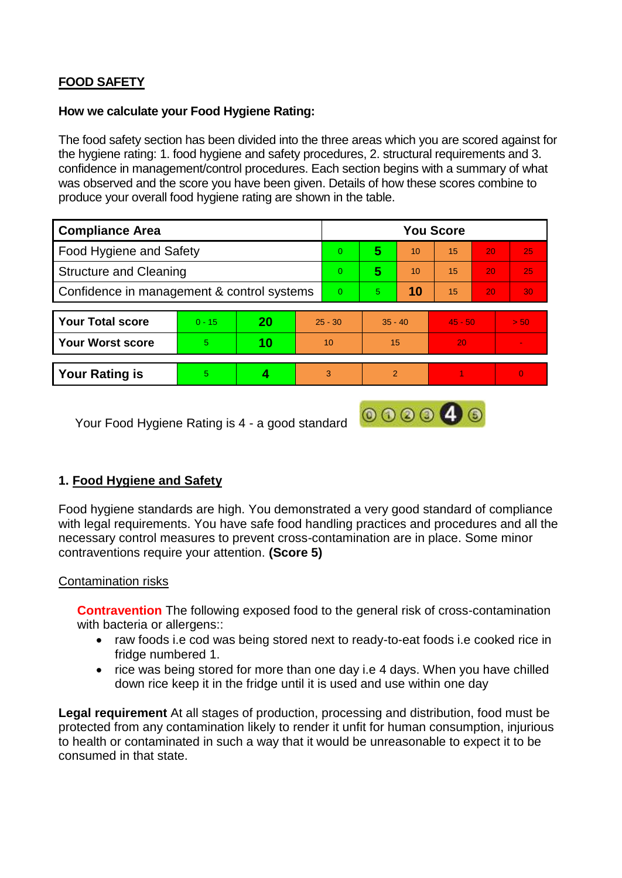# **FOOD SAFETY**

## **How we calculate your Food Hygiene Rating:**

The food safety section has been divided into the three areas which you are scored against for the hygiene rating: 1. food hygiene and safety procedures, 2. structural requirements and 3. confidence in management/control procedures. Each section begins with a summary of what was observed and the score you have been given. Details of how these scores combine to produce your overall food hygiene rating are shown in the table.

| <b>Compliance Area</b>                     |          |           |           | <b>You Score</b> |                |    |           |    |                 |  |  |
|--------------------------------------------|----------|-----------|-----------|------------------|----------------|----|-----------|----|-----------------|--|--|
| Food Hygiene and Safety                    |          |           |           | $\overline{0}$   | 5              | 10 | 15        | 20 | 25              |  |  |
| <b>Structure and Cleaning</b>              |          |           |           | $\Omega$         | 5              | 10 | 15        | 20 | 25              |  |  |
| Confidence in management & control systems |          |           |           | $\Omega$         | 5.             | 10 | 15        | 20 | 30 <sub>1</sub> |  |  |
|                                            |          |           |           |                  |                |    |           |    |                 |  |  |
| <b>Your Total score</b>                    | $0 - 15$ | <b>20</b> | $25 - 30$ |                  | $35 - 40$      |    | $45 - 50$ |    | > 50            |  |  |
| Your Worst score                           | 5        | 10        | 10        |                  | 15             |    | 20        |    | $\blacksquare$  |  |  |
|                                            |          |           |           |                  |                |    |           |    |                 |  |  |
| <b>Your Rating is</b>                      | 5        |           |           | 3                | $\overline{2}$ |    |           |    | $\Omega$        |  |  |

Your Food Hygiene Rating is 4 - a good standard

# **1. Food Hygiene and Safety**

Food hygiene standards are high. You demonstrated a very good standard of compliance with legal requirements. You have safe food handling practices and procedures and all the necessary control measures to prevent cross-contamination are in place. Some minor contraventions require your attention. **(Score 5)**

000040

## Contamination risks

**Contravention** The following exposed food to the general risk of cross-contamination with bacteria or allergens::

- raw foods i.e cod was being stored next to ready-to-eat foods i.e cooked rice in fridge numbered 1.
- rice was being stored for more than one day i.e 4 days. When you have chilled down rice keep it in the fridge until it is used and use within one day

**Legal requirement** At all stages of production, processing and distribution, food must be protected from any contamination likely to render it unfit for human consumption, injurious to health or contaminated in such a way that it would be unreasonable to expect it to be consumed in that state.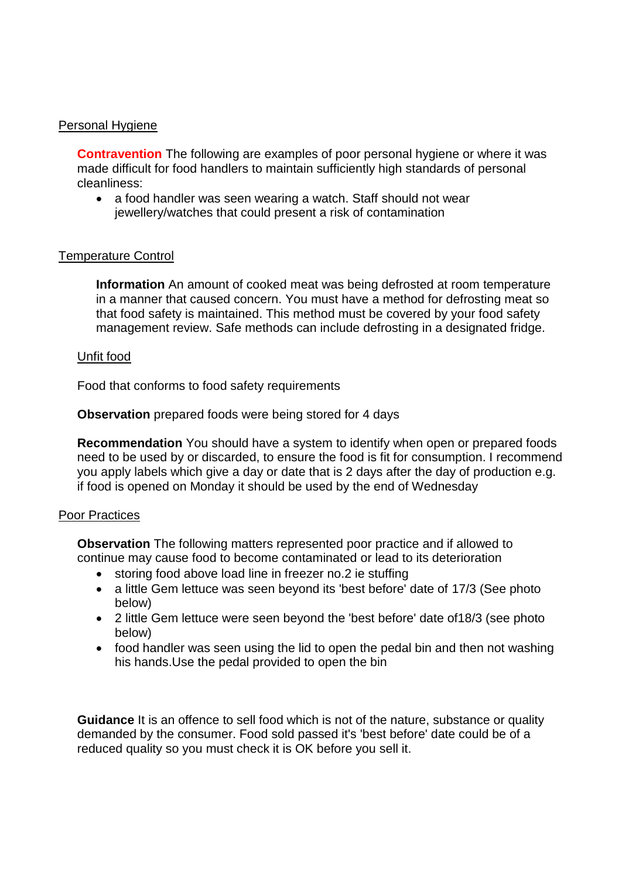## Personal Hygiene

**Contravention** The following are examples of poor personal hygiene or where it was made difficult for food handlers to maintain sufficiently high standards of personal cleanliness:

• a food handler was seen wearing a watch. Staff should not wear jewellery/watches that could present a risk of contamination

## Temperature Control

**Information** An amount of cooked meat was being defrosted at room temperature in a manner that caused concern. You must have a method for defrosting meat so that food safety is maintained. This method must be covered by your food safety management review. Safe methods can include defrosting in a designated fridge.

### Unfit food

Food that conforms to food safety requirements

**Observation** prepared foods were being stored for 4 days

**Recommendation** You should have a system to identify when open or prepared foods need to be used by or discarded, to ensure the food is fit for consumption. I recommend you apply labels which give a day or date that is 2 days after the day of production e.g. if food is opened on Monday it should be used by the end of Wednesday

### Poor Practices

**Observation** The following matters represented poor practice and if allowed to continue may cause food to become contaminated or lead to its deterioration

- storing food above load line in freezer no.2 ie stuffing
- a little Gem lettuce was seen beyond its 'best before' date of 17/3 (See photo below)
- 2 little Gem lettuce were seen beyond the 'best before' date of18/3 (see photo below)
- food handler was seen using the lid to open the pedal bin and then not washing his hands.Use the pedal provided to open the bin

**Guidance** It is an offence to sell food which is not of the nature, substance or quality demanded by the consumer. Food sold passed it's 'best before' date could be of a reduced quality so you must check it is OK before you sell it.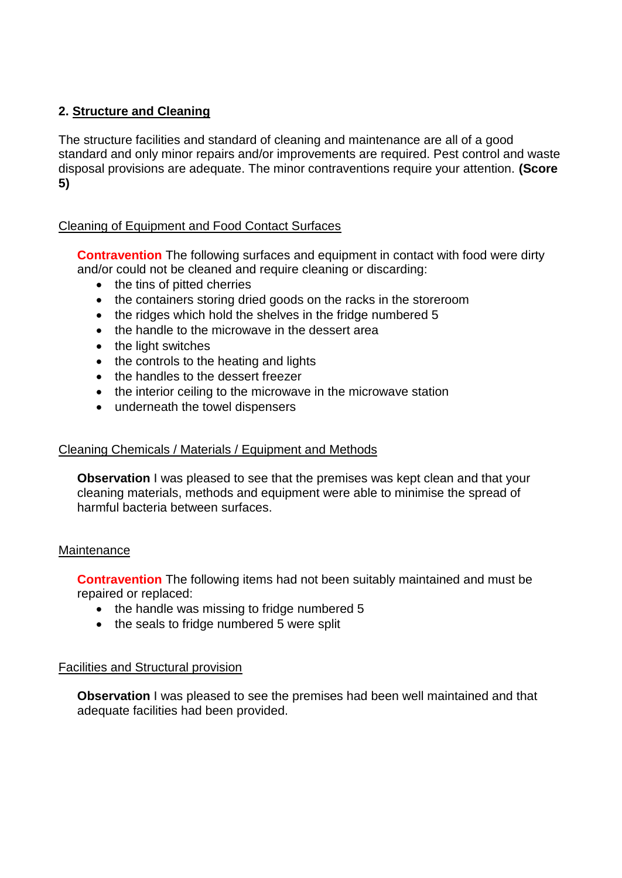# **2. Structure and Cleaning**

The structure facilities and standard of cleaning and maintenance are all of a good standard and only minor repairs and/or improvements are required. Pest control and waste disposal provisions are adequate. The minor contraventions require your attention. **(Score 5)**

# Cleaning of Equipment and Food Contact Surfaces

**Contravention** The following surfaces and equipment in contact with food were dirty and/or could not be cleaned and require cleaning or discarding:

- the tins of pitted cherries
- the containers storing dried goods on the racks in the storeroom
- the ridges which hold the shelves in the fridge numbered 5
- the handle to the microwave in the dessert area
- the light switches
- the controls to the heating and lights
- the handles to the dessert freezer
- the interior ceiling to the microwave in the microwave station
- underneath the towel dispensers

## Cleaning Chemicals / Materials / Equipment and Methods

**Observation** I was pleased to see that the premises was kept clean and that your cleaning materials, methods and equipment were able to minimise the spread of harmful bacteria between surfaces.

### **Maintenance**

**Contravention** The following items had not been suitably maintained and must be repaired or replaced:

- the handle was missing to fridge numbered 5
- the seals to fridge numbered 5 were split

## Facilities and Structural provision

**Observation** I was pleased to see the premises had been well maintained and that adequate facilities had been provided.